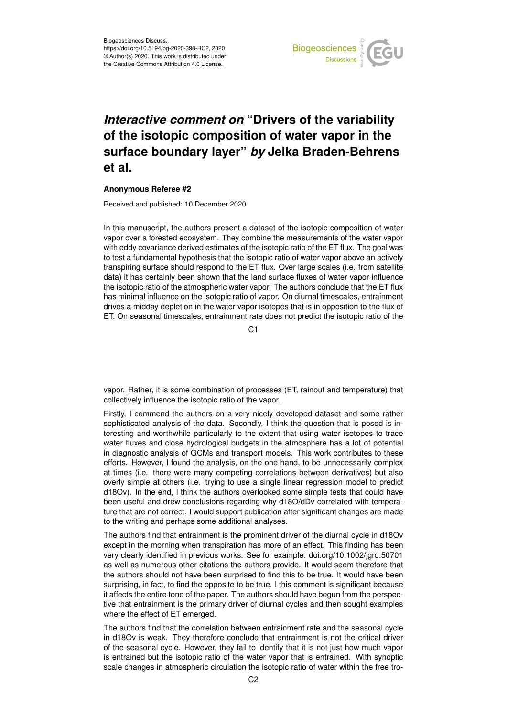

## *Interactive comment on* **"Drivers of the variability of the isotopic composition of water vapor in the surface boundary layer"** *by* **Jelka Braden-Behrens et al.**

## **Anonymous Referee #2**

Received and published: 10 December 2020

In this manuscript, the authors present a dataset of the isotopic composition of water vapor over a forested ecosystem. They combine the measurements of the water vapor with eddy covariance derived estimates of the isotopic ratio of the ET flux. The goal was to test a fundamental hypothesis that the isotopic ratio of water vapor above an actively transpiring surface should respond to the ET flux. Over large scales (i.e. from satellite data) it has certainly been shown that the land surface fluxes of water vapor influence the isotopic ratio of the atmospheric water vapor. The authors conclude that the ET flux has minimal influence on the isotopic ratio of vapor. On diurnal timescales, entrainment drives a midday depletion in the water vapor isotopes that is in opposition to the flux of ET. On seasonal timescales, entrainment rate does not predict the isotopic ratio of the

C<sub>1</sub>

vapor. Rather, it is some combination of processes (ET, rainout and temperature) that collectively influence the isotopic ratio of the vapor.

Firstly, I commend the authors on a very nicely developed dataset and some rather sophisticated analysis of the data. Secondly, I think the question that is posed is interesting and worthwhile particularly to the extent that using water isotopes to trace water fluxes and close hydrological budgets in the atmosphere has a lot of potential in diagnostic analysis of GCMs and transport models. This work contributes to these efforts. However, I found the analysis, on the one hand, to be unnecessarily complex at times (i.e. there were many competing correlations between derivatives) but also overly simple at others (i.e. trying to use a single linear regression model to predict d18Ov). In the end, I think the authors overlooked some simple tests that could have been useful and drew conclusions regarding why d18O/dDv correlated with temperature that are not correct. I would support publication after significant changes are made to the writing and perhaps some additional analyses.

The authors find that entrainment is the prominent driver of the diurnal cycle in d18Ov except in the morning when transpiration has more of an effect. This finding has been very clearly identified in previous works. See for example: doi.org/10.1002/jgrd.50701 as well as numerous other citations the authors provide. It would seem therefore that the authors should not have been surprised to find this to be true. It would have been surprising, in fact, to find the opposite to be true. I this comment is significant because it affects the entire tone of the paper. The authors should have begun from the perspective that entrainment is the primary driver of diurnal cycles and then sought examples where the effect of ET emerged.

The authors find that the correlation between entrainment rate and the seasonal cycle in d18Ov is weak. They therefore conclude that entrainment is not the critical driver of the seasonal cycle. However, they fail to identify that it is not just how much vapor is entrained but the isotopic ratio of the water vapor that is entrained. With synoptic scale changes in atmospheric circulation the isotopic ratio of water within the free tro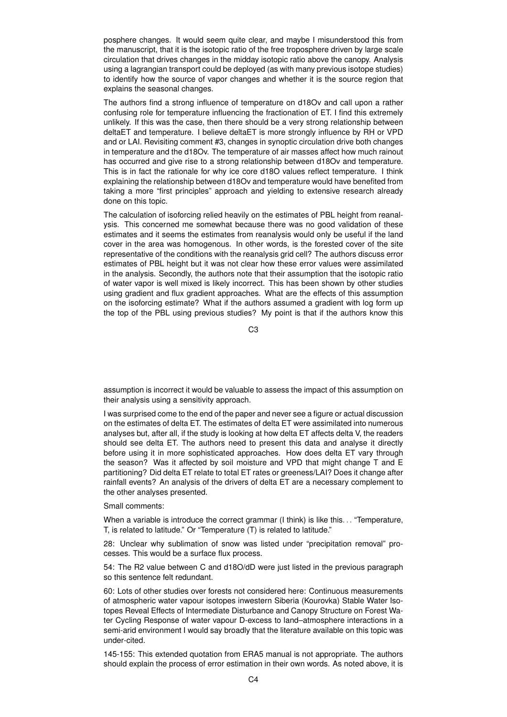posphere changes. It would seem quite clear, and maybe I misunderstood this from the manuscript, that it is the isotopic ratio of the free troposphere driven by large scale circulation that drives changes in the midday isotopic ratio above the canopy. Analysis using a lagrangian transport could be deployed (as with many previous isotope studies) to identify how the source of vapor changes and whether it is the source region that explains the seasonal changes.

The authors find a strong influence of temperature on d18Ov and call upon a rather confusing role for temperature influencing the fractionation of ET. I find this extremely unlikely. If this was the case, then there should be a very strong relationship between deltaET and temperature. I believe deltaET is more strongly influence by RH or VPD and or LAI. Revisiting comment #3, changes in synoptic circulation drive both changes in temperature and the d18Ov. The temperature of air masses affect how much rainout has occurred and give rise to a strong relationship between d18Ov and temperature. This is in fact the rationale for why ice core d18O values reflect temperature. I think explaining the relationship between d18Ov and temperature would have benefited from taking a more "first principles" approach and yielding to extensive research already done on this topic.

The calculation of isoforcing relied heavily on the estimates of PBL height from reanalysis. This concerned me somewhat because there was no good validation of these estimates and it seems the estimates from reanalysis would only be useful if the land cover in the area was homogenous. In other words, is the forested cover of the site representative of the conditions with the reanalysis grid cell? The authors discuss error estimates of PBL height but it was not clear how these error values were assimilated in the analysis. Secondly, the authors note that their assumption that the isotopic ratio of water vapor is well mixed is likely incorrect. This has been shown by other studies using gradient and flux gradient approaches. What are the effects of this assumption on the isoforcing estimate? What if the authors assumed a gradient with log form up the top of the PBL using previous studies? My point is that if the authors know this

C3

assumption is incorrect it would be valuable to assess the impact of this assumption on their analysis using a sensitivity approach.

I was surprised come to the end of the paper and never see a figure or actual discussion on the estimates of delta ET. The estimates of delta ET were assimilated into numerous analyses but, after all, if the study is looking at how delta ET affects delta V, the readers should see delta ET. The authors need to present this data and analyse it directly before using it in more sophisticated approaches. How does delta ET vary through the season? Was it affected by soil moisture and VPD that might change T and E partitioning? Did delta ET relate to total ET rates or greeness/LAI? Does it change after rainfall events? An analysis of the drivers of delta ET are a necessary complement to the other analyses presented.

Small comments:

When a variable is introduce the correct grammar (I think) is like this... "Temperature, T, is related to latitude." Or "Temperature (T) is related to latitude."

28: Unclear why sublimation of snow was listed under "precipitation removal" processes. This would be a surface flux process.

54: The R2 value between C and d18O/dD were just listed in the previous paragraph so this sentence felt redundant.

60: Lots of other studies over forests not considered here: Continuous measurements of atmospheric water vapour isotopes inwestern Siberia (Kourovka) Stable Water Isotopes Reveal Effects of Intermediate Disturbance and Canopy Structure on Forest Water Cycling Response of water vapour D-excess to land–atmosphere interactions in a semi-arid environment I would say broadly that the literature available on this topic was under-cited.

145-155: This extended quotation from ERA5 manual is not appropriate. The authors should explain the process of error estimation in their own words. As noted above, it is